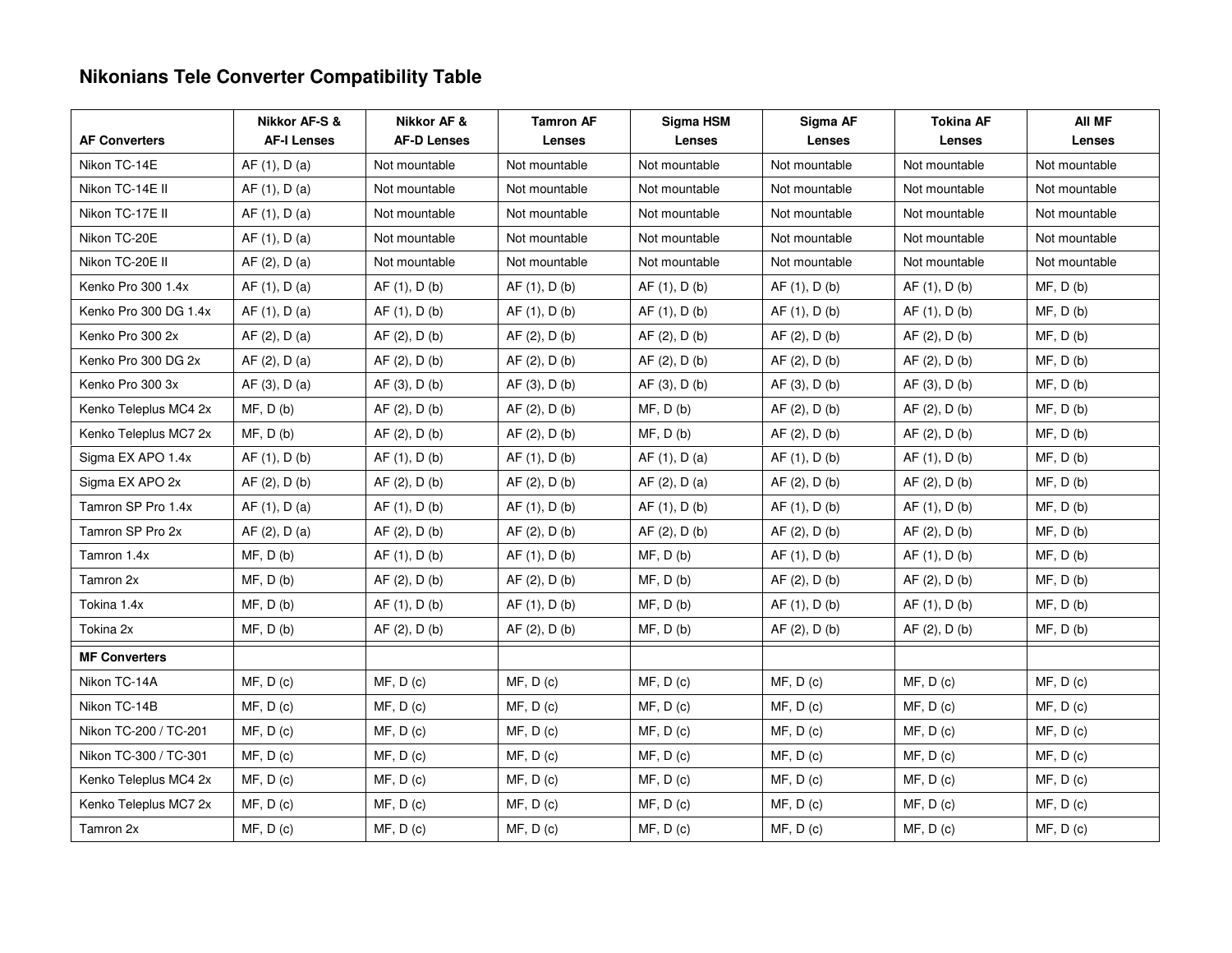# **Nikonians Tele Converter Compatibility Table**

|                       | Nikkor AF-S &      | Nikkor AF &        | <b>Tamron AF</b> | Sigma HSM     | Sigma AF      | <b>Tokina AF</b> | AII MF        |
|-----------------------|--------------------|--------------------|------------------|---------------|---------------|------------------|---------------|
| <b>AF Converters</b>  | <b>AF-I Lenses</b> | <b>AF-D Lenses</b> | Lenses           | Lenses        | Lenses        | Lenses           | Lenses        |
| Nikon TC-14E          | AF (1), D (a)      | Not mountable      | Not mountable    | Not mountable | Not mountable | Not mountable    | Not mountable |
| Nikon TC-14E II       | AF(1), D(a)        | Not mountable      | Not mountable    | Not mountable | Not mountable | Not mountable    | Not mountable |
| Nikon TC-17E II       | AF(1), D(a)        | Not mountable      | Not mountable    | Not mountable | Not mountable | Not mountable    | Not mountable |
| Nikon TC-20E          | AF(1), D(a)        | Not mountable      | Not mountable    | Not mountable | Not mountable | Not mountable    | Not mountable |
| Nikon TC-20E II       | AF (2), D (a)      | Not mountable      | Not mountable    | Not mountable | Not mountable | Not mountable    | Not mountable |
| Kenko Pro 300 1.4x    | AF(1), D(a)        | AF(1), D(b)        | AF(1), D(b)      | AF(1), D(b)   | AF (1), D (b) | AF(1), D(b)      | MF, D(b)      |
| Kenko Pro 300 DG 1.4x | AF (1), D (a)      | AF (1), D (b)      | AF(1), D(b)      | AF (1), D (b) | AF(1), D(b)   | AF (1), D (b)    | MF, D(b)      |
| Kenko Pro 300 2x      | AF (2), D (a)      | AF(2), D(b)        | AF(2), D(b)      | AF(2), D(b)   | AF(2), D(b)   | AF (2), D (b)    | MF, D(b)      |
| Kenko Pro 300 DG 2x   | AF (2), D (a)      | AF (2), D (b)      | AF(2), D(b)      | AF(2), D(b)   | AF (2), D (b) | AF (2), D (b)    | MF, D(b)      |
| Kenko Pro 300 3x      | AF(3), D(a)        | AF(3), D(b)        | AF(3), D(b)      | AF(3), D(b)   | AF(3), D(b)   | AF(3), D(b)      | MF, D(b)      |
| Kenko Teleplus MC4 2x | MF, D(b)           | AF (2), D (b)      | AF (2), D (b)    | MF, D(b)      | AF (2), D (b) | AF (2), D (b)    | MF, D(b)      |
| Kenko Teleplus MC7 2x | MF, D(b)           | AF(2), D(b)        | AF(2), D(b)      | MF, D(b)      | AF (2), D (b) | AF(2), D(b)      | MF, D(b)      |
| Sigma EX APO 1.4x     | AF (1), D (b)      | AF(1), D(b)        | AF(1), D(b)      | AF (1), D (a) | AF (1), D (b) | AF(1), D(b)      | MF, D(b)      |
| Sigma EX APO 2x       | AF(2), D(b)        | AF(2), D(b)        | AF(2), D(b)      | AF (2), D (a) | AF(2), D(b)   | AF(2), D(b)      | MF, D(b)      |
| Tamron SP Pro 1.4x    | AF (1), D (a)      | AF(1), D(b)        | AF (1), D (b)    | AF(1), D(b)   | AF (1), D (b) | AF (1), D (b)    | MF, D(b)      |
| Tamron SP Pro 2x      | AF (2), D (a)      | AF (2), D (b)      | AF(2), D(b)      | AF(2), D(b)   | AF (2), D (b) | AF (2), D (b)    | MF, D(b)      |
| Tamron 1.4x           | MF, D(b)           | AF(1), D(b)        | AF(1), D(b)      | MF, D(b)      | AF(1), D(b)   | AF (1), D (b)    | MF, D(b)      |
| Tamron 2x             | MF, D(b)           | AF(2), D(b)        | AF(2), D(b)      | MF, D(b)      | AF (2), D (b) | AF(2), D(b)      | MF, D(b)      |
| Tokina 1.4x           | MF, D(b)           | AF(1), D(b)        | AF(1), D(b)      | MF, D(b)      | AF(1), D(b)   | AF (1), D (b)    | MF, D(b)      |
| Tokina 2x             | MF, D(b)           | AF(2), D(b)        | AF (2), D (b)    | MF, D(b)      | AF(2), D(b)   | AF (2), D (b)    | MF, D(b)      |
| <b>MF Converters</b>  |                    |                    |                  |               |               |                  |               |
| Nikon TC-14A          | MF, D(c)           | MF, D(c)           | MF, D(c)         | MF, D(c)      | MF, D(c)      | MF, D(c)         | MF, D(c)      |
| Nikon TC-14B          | MF, D(c)           | MF, D(c)           | MF, D(c)         | MF, D(c)      | MF, D(c)      | MF, D(c)         | MF, D(c)      |
| Nikon TC-200 / TC-201 | MF, D(c)           | MF, D(c)           | MF, D(c)         | MF, D(c)      | MF, D(c)      | MF, D(c)         | MF, D(c)      |
| Nikon TC-300 / TC-301 | MF, D(c)           | MF, D(c)           | MF, D(c)         | MF, D(c)      | MF, D(c)      | MF, D(c)         | MF, D(c)      |
| Kenko Teleplus MC4 2x | MF, D(c)           | MF, D(c)           | MF, D(c)         | MF, D(c)      | MF, D(c)      | MF, D(c)         | MF, D(c)      |
| Kenko Teleplus MC7 2x | MF, D(c)           | MF, D(c)           | MF, D(c)         | MF, D(c)      | MF, D(c)      | MF, D(c)         | MF, D(c)      |
| Tamron 2x             | MF, D(c)           | MF, D(c)           | MF, D(c)         | MF, D(c)      | MF, D(c)      | MF, D(c)         | MF, D(c)      |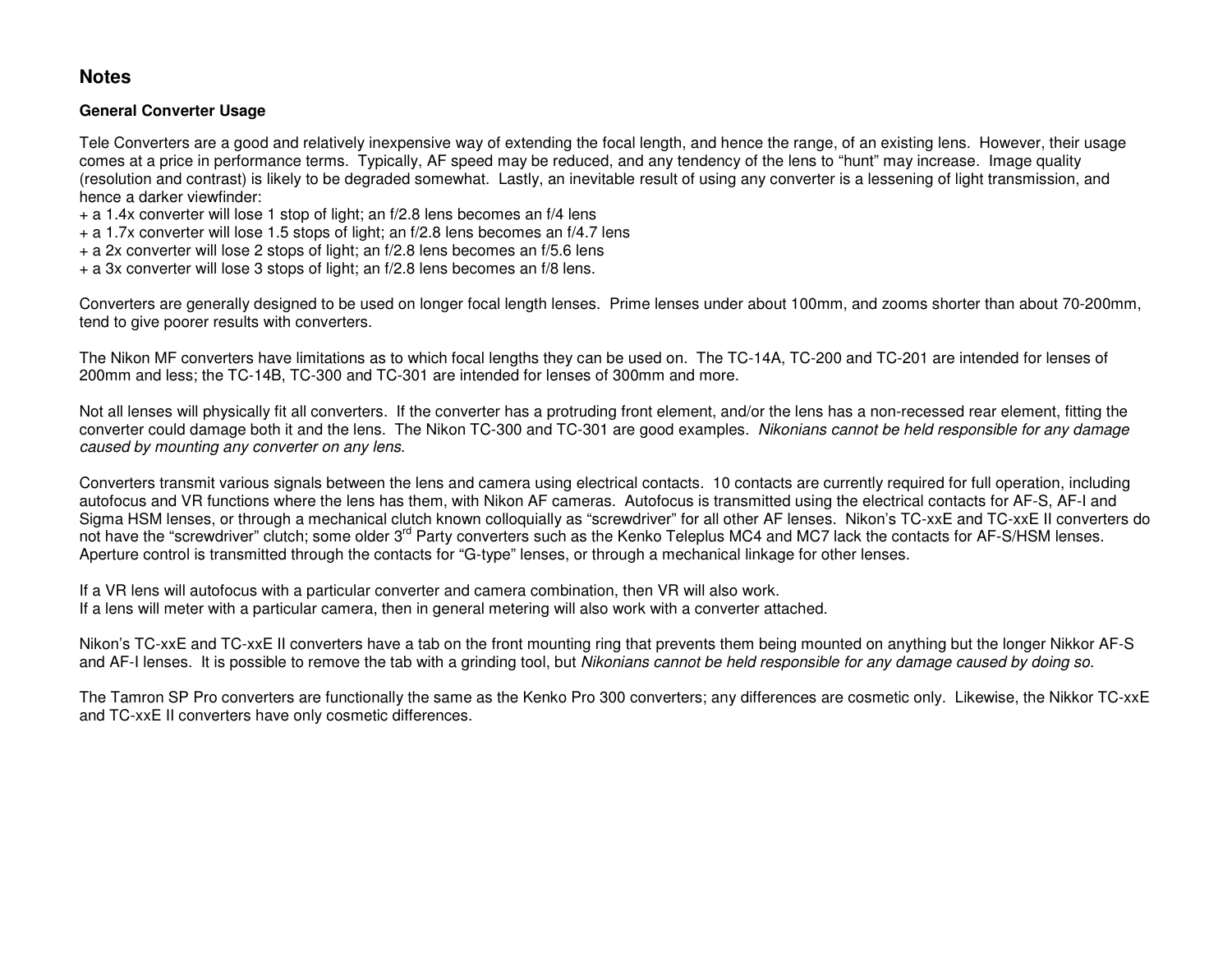# **Notes**

#### **General Converter Usage**

Tele Converters are a good and relatively inexpensive way of extending the focal length, and hence the range, of an existing lens. However, their usage comes at a price in performance terms. Typically, AF speed may be reduced, and any tendency of the lens to "hunt" may increase. Image quality (resolution and contrast) is likely to be degraded somewhat. Lastly, an inevitable result of using any converter is a lessening of light transmission, and hence a darker viewfinder:

- + a 1.4x converter will lose 1 stop of light; an f/2.8 lens becomes an f/4 lens
- + a 1.7x converter will lose 1.5 stops of light; an f/2.8 lens becomes an f/4.7 lens
- + a 2x converter will lose 2 stops of light; an f/2.8 lens becomes an f/5.6 lens
- + a 3x converter will lose 3 stops of light; an f/2.8 lens becomes an f/8 lens.

Converters are generally designed to be used on longer focal length lenses. Prime lenses under about 100mm, and zooms shorter than about 70-200mm, tend to give poorer results with converters.

The Nikon MF converters have limitations as to which focal lengths they can be used on. The TC-14A, TC-200 and TC-201 are intended for lenses of 200mm and less; the TC-14B, TC-300 and TC-301 are intended for lenses of 300mm and more.

Not all lenses will physically fit all converters. If the converter has a protruding front element, and/or the lens has a non-recessed rear element, fitting the converter could damage both it and the lens. The Nikon TC-300 and TC-301 are good examples. Nikonians cannot be held responsible for any damage caused by mounting any converter on any lens.

Converters transmit various signals between the lens and camera using electrical contacts. 10 contacts are currently required for full operation, including autofocus and VR functions where the lens has them, with Nikon AF cameras. Autofocus is transmitted using the electrical contacts for AF-S, AF-I and Sigma HSM lenses, or through a mechanical clutch known colloquially as "screwdriver" for all other AF lenses. Nikon's TC-xxE and TC-xxE II converters donot have the "screwdriver" clutch; some older 3<sup>rd</sup> Party converters such as the Kenko Teleplus MC4 and MC7 lack the contacts for AF-S/HSM lenses. Aperture control is transmitted through the contacts for "G-type" lenses, or through a mechanical linkage for other lenses.

If a VR lens will autofocus with a particular converter and camera combination, then VR will also work. If a lens will meter with a particular camera, then in general metering will also work with a converter attached.

Nikon's TC-xxE and TC-xxE II converters have a tab on the front mounting ring that prevents them being mounted on anything but the longer Nikkor AF-S and AF-I lenses. It is possible to remove the tab with a grinding tool, but Nikonians cannot be held responsible for any damage caused by doing so.

The Tamron SP Pro converters are functionally the same as the Kenko Pro 300 converters; any differences are cosmetic only. Likewise, the Nikkor TC-xxE and TC-xxE II converters have only cosmetic differences.